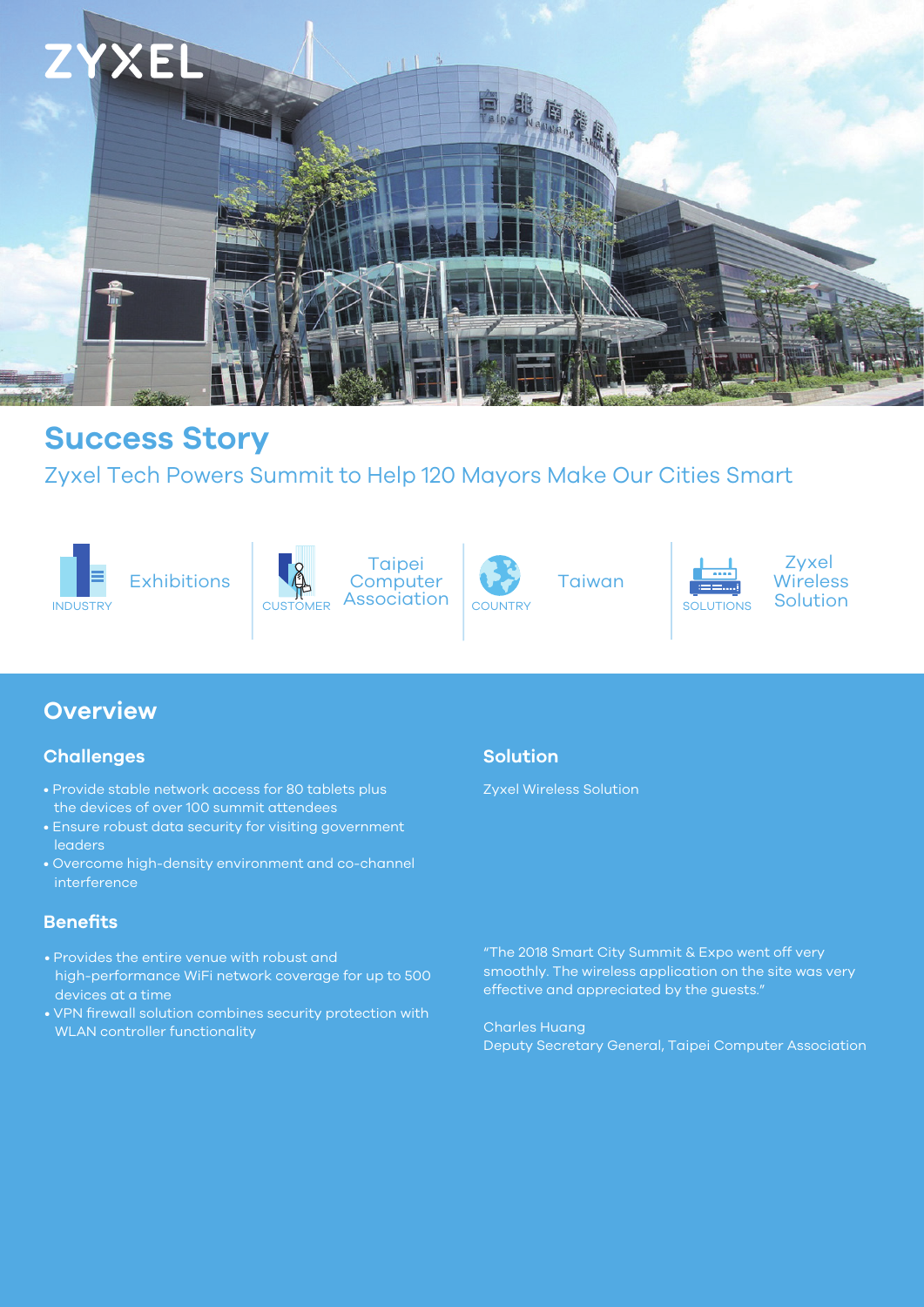

# **Success Story**

## Zyxel Tech Powers Summit to Help 120 Mayors Make Our Cities Smart





INDUSTRY Solution CUSTOMER Association COUNTRY SOLUTIONS Solution **Taipei Computer** CUSTOMER Association



Taiwan



Zyxel **Wireless** 

## **Overview**

#### **Challenges**

- Provide stable network access for 80 tablets plus the devices of over 100 summit attendees
- Ensure robust data security for visiting government leaders
- Overcome high-density environment and co-channel interference

## **Benefits**

- Provides the entire venue with robust and high-performance WiFi network coverage for up to 500 devices at a time
- VPN firewall solution combines security protection with WLAN controller functionality

## **Solution**

Zyxel Wireless Solution

"The 2018 Smart City Summit & Expo went off very smoothly. The wireless application on the site was very effective and appreciated by the guests."

Charles Huang Deputy Secretary General, Taipei Computer Association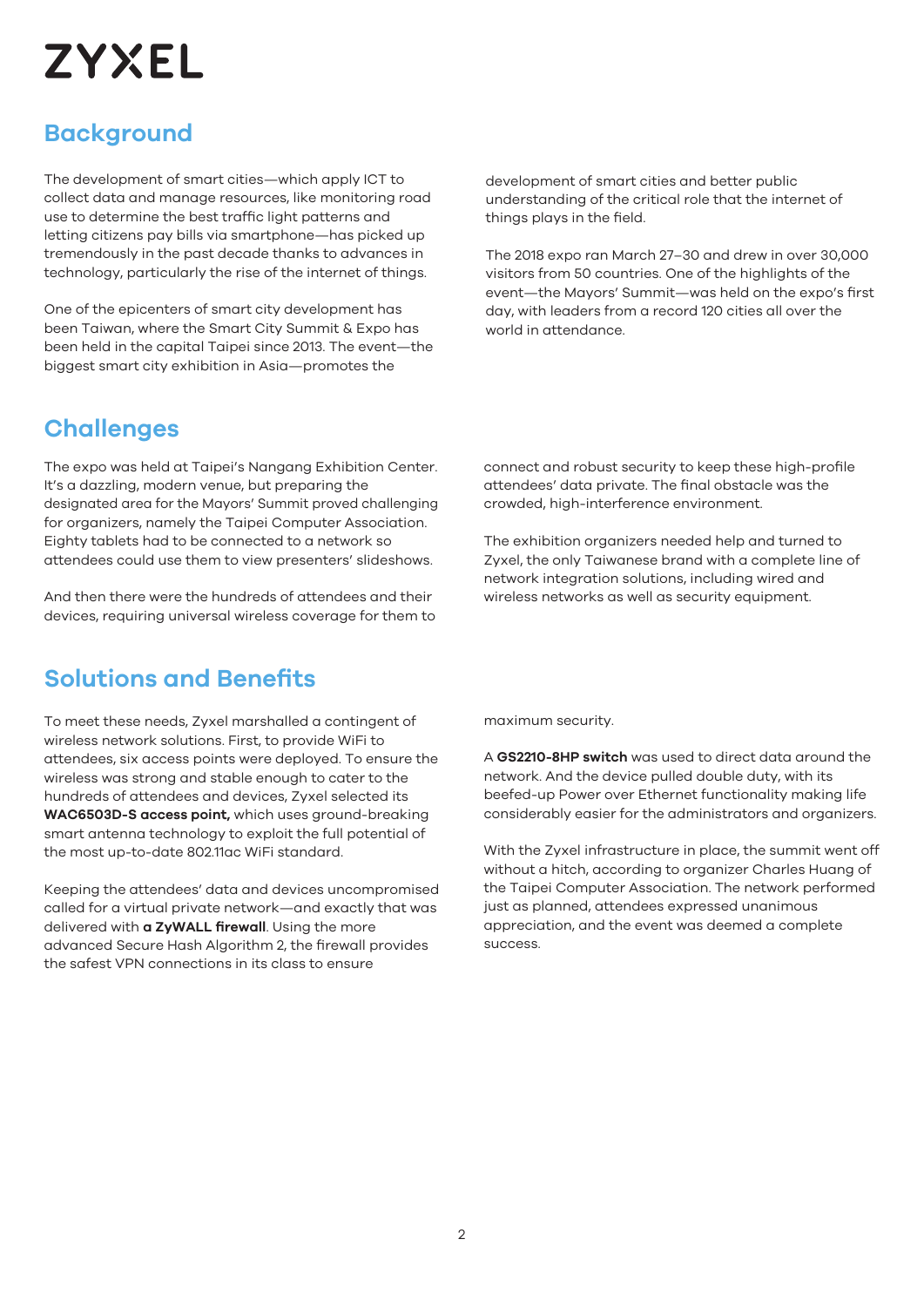# **ZYXEL**

# **Background**

The development of smart cities—which apply ICT to collect data and manage resources, like monitoring road use to determine the best traffic light patterns and letting citizens pay bills via smartphone—has picked up tremendously in the past decade thanks to advances in technology, particularly the rise of the internet of things.

One of the epicenters of smart city development has been Taiwan, where the Smart City Summit & Expo has been held in the capital Taipei since 2013. The event—the biggest smart city exhibition in Asia—promotes the

development of smart cities and better public understanding of the critical role that the internet of things plays in the field.

The 2018 expo ran March 27–30 and drew in over 30,000 visitors from 50 countries. One of the highlights of the event—the Mayors' Summit—was held on the expo's first day, with leaders from a record 120 cities all over the world in attendance.

## **Challenges**

The expo was held at Taipei's Nangang Exhibition Center. It's a dazzling, modern venue, but preparing the designated area for the Mayors' Summit proved challenging for organizers, namely the Taipei Computer Association. Eighty tablets had to be connected to a network so attendees could use them to view presenters' slideshows.

And then there were the hundreds of attendees and their devices, requiring universal wireless coverage for them to

## **Solutions and Benefits**

To meet these needs, Zyxel marshalled a contingent of wireless network solutions. First, to provide WiFi to attendees, six access points were deployed. To ensure the wireless was strong and stable enough to cater to the hundreds of attendees and devices, Zyxel selected its **WAC6503D-S access point,** which uses ground-breaking smart antenna technology to exploit the full potential of the most up-to-date 802.11ac WiFi standard.

Keeping the attendees' data and devices uncompromised called for a virtual private network—and exactly that was delivered with **a ZyWALL firewall**. Using the more advanced Secure Hash Algorithm 2, the firewall provides the safest VPN connections in its class to ensure

connect and robust security to keep these high-profile attendees' data private. The final obstacle was the crowded, high-interference environment.

The exhibition organizers needed help and turned to Zyxel, the only Taiwanese brand with a complete line of network integration solutions, including wired and wireless networks as well as security equipment.

maximum security.

A **GS2210-8HP switch** was used to direct data around the network. And the device pulled double duty, with its beefed-up Power over Ethernet functionality making life considerably easier for the administrators and organizers.

With the Zyxel infrastructure in place, the summit went off without a hitch, according to organizer Charles Huang of the Taipei Computer Association. The network performed just as planned, attendees expressed unanimous appreciation, and the event was deemed a complete success.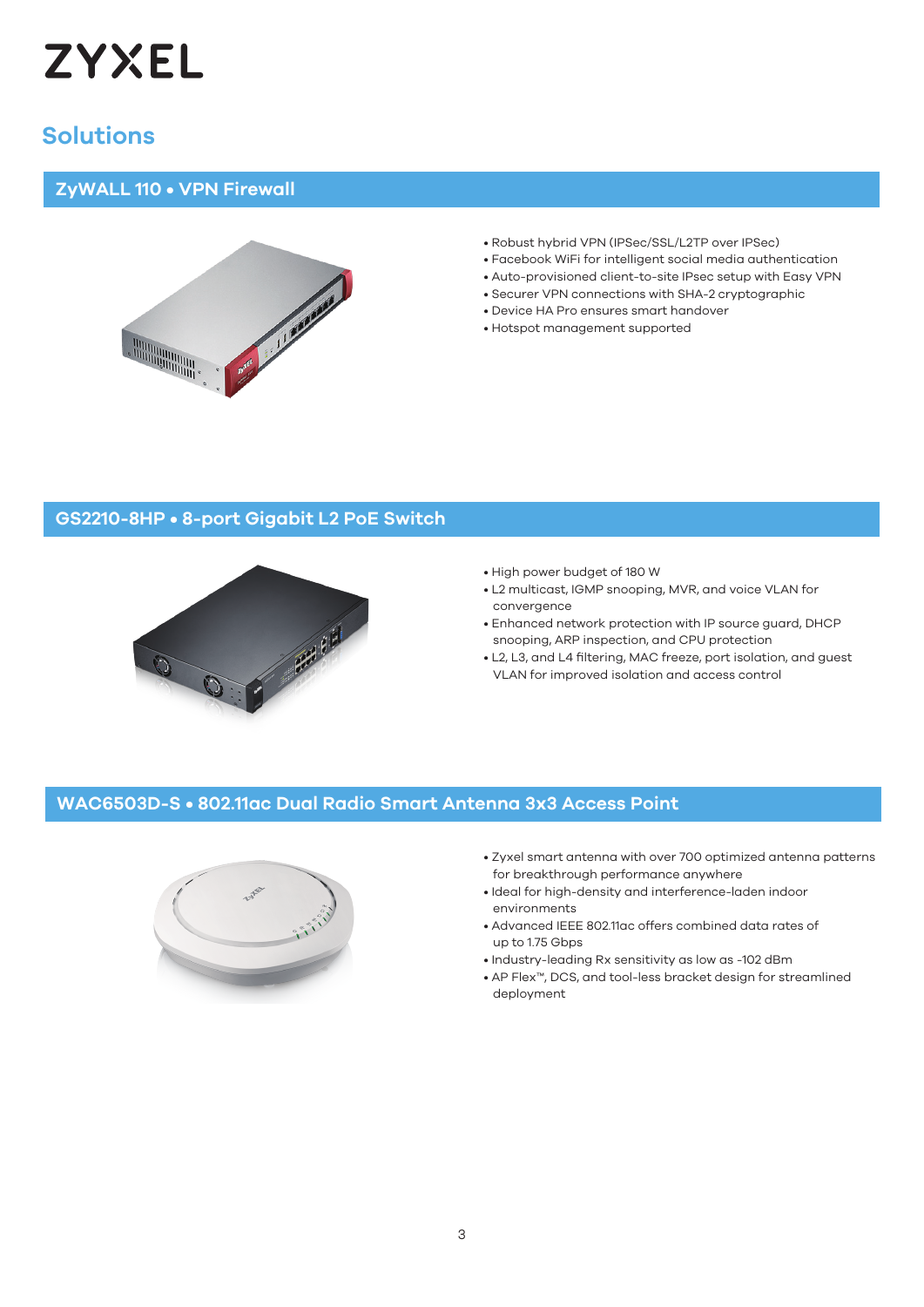

## **Solutions**

#### **ZyWALL 110 • VPN Firewall**



- Robust hybrid VPN (IPSec/SSL/L2TP over IPSec)
- Facebook WiFi for intelligent social media authentication
- Auto-provisioned client-to-site IPsec setup with Easy VPN
- Securer VPN connections with SHA-2 cryptographic
- Device HA Pro ensures smart handover
- Hotspot management supported

#### **GS2210-8HP • 8-port Gigabit L2 PoE Switch**



- High power budget of 180 W
- L2 multicast, IGMP snooping, MVR, and voice VLAN for convergence
- Enhanced network protection with IP source guard, DHCP snooping, ARP inspection, and CPU protection
- L2, L3, and L4 filtering, MAC freeze, port isolation, and guest VLAN for improved isolation and access control

#### **WAC6503D-S • 802.11ac Dual Radio Smart Antenna 3x3 Access Point**



- Zyxel smart antenna with over 700 optimized antenna patterns for breakthrough performance anywhere
- Ideal for high-density and interference-laden indoor environments
- Advanced IEEE 802.11ac offers combined data rates of up to 1.75 Gbps
- Industry-leading Rx sensitivity as low as -102 dBm
- AP Flex™, DCS, and tool-less bracket design for streamlined deployment